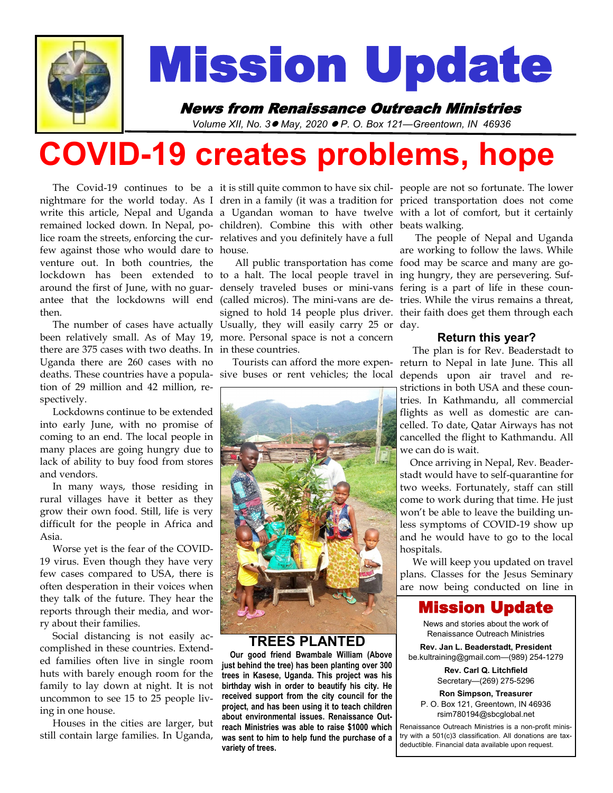

# Mission Update

# News from Renaissance Outreach Ministries

*Volume XII, No. 3*⚫ *May, 2020* ⚫ *P. O. Box 121—Greentown, IN 46936* 

# **COVID-19 creates problems, hope**

 The Covid-19 continues to be a it is still quite common to have six chil-people are not so fortunate. The lower nightmare for the world today. As I dren in a family (it was a tradition for priced transportation does not come write this article, Nepal and Uganda a Ugandan woman to have twelve with a lot of comfort, but it certainly remained locked down. In Nepal, po-children). Combine this with other beats walking. lice roam the streets, enforcing the cur-relatives and you definitely have a full few against those who would dare to house. venture out. In both countries, the lockdown has been extended to to a halt. The local people travel in ing hungry, they are persevering. Sufaround the first of June, with no guar- densely traveled buses or mini-vans fering is a part of life in these counantee that the lockdowns will end (called micros). The mini-vans are de-tries. While the virus remains a threat, then.

 The number of cases have actually Usually, they will easily carry 25 or day. been relatively small. As of May 19, more. Personal space is not a concern there are 375 cases with two deaths. In in these countries. Uganda there are 260 cases with no deaths. These countries have a popula-sive buses or rent vehicles; the local depends upon air travel and retion of 29 million and 42 million, respectively.

 Lockdowns continue to be extended into early June, with no promise of coming to an end. The local people in many places are going hungry due to lack of ability to buy food from stores and vendors.

 In many ways, those residing in rural villages have it better as they grow their own food. Still, life is very difficult for the people in Africa and Asia.

 Worse yet is the fear of the COVID-19 virus. Even though they have very few cases compared to USA, there is often desperation in their voices when they talk of the future. They hear the reports through their media, and worry about their families.

 Social distancing is not easily accomplished in these countries. Extended families often live in single room huts with barely enough room for the family to lay down at night. It is not uncommon to see 15 to 25 people living in one house.

 Houses in the cities are larger, but still contain large families. In Uganda,

 All public transportation has come food may be scarce and many are gosigned to hold 14 people plus driver. their faith does get them through each



#### **TREES PLANTED**

 **Our good friend Bwambale William (Above just behind the tree) has been planting over 300 trees in Kasese, Uganda. This project was his birthday wish in order to beautify his city. He received support from the city council for the project, and has been using it to teach children about environmental issues. Renaissance Outreach Ministries was able to raise \$1000 which was sent to him to help fund the purchase of a variety of trees.**

 The people of Nepal and Uganda are working to follow the laws. While

#### **Return this year?**

 Tourists can afford the more expen-return to Nepal in late June. This all The plan is for Rev. Beaderstadt to strictions in both USA and these countries. In Kathmandu, all commercial flights as well as domestic are cancelled. To date, Qatar Airways has not cancelled the flight to Kathmandu. All we can do is wait.

> Once arriving in Nepal, Rev. Beaderstadt would have to self-quarantine for two weeks. Fortunately, staff can still come to work during that time. He just won't be able to leave the building unless symptoms of COVID-19 show up and he would have to go to the local hospitals.

> We will keep you updated on travel plans. Classes for the Jesus Seminary are now being conducted on line in

# Mission Update

News and stories about the work of Renaissance Outreach Ministries

**Rev. Jan L. Beaderstadt, President** be.kultraining@gmail.com—(989) 254-1279

> **Rev. Carl Q. Litchfield** Secretary—(269) 275-5296

**Ron Simpson, Treasurer** P. O. Box 121, Greentown, IN 46936 rsim780194@sbcglobal.net

Renaissance Outreach Ministries is a non-profit ministry with a 501(c)3 classification. All donations are taxdeductible. Financial data available upon request.